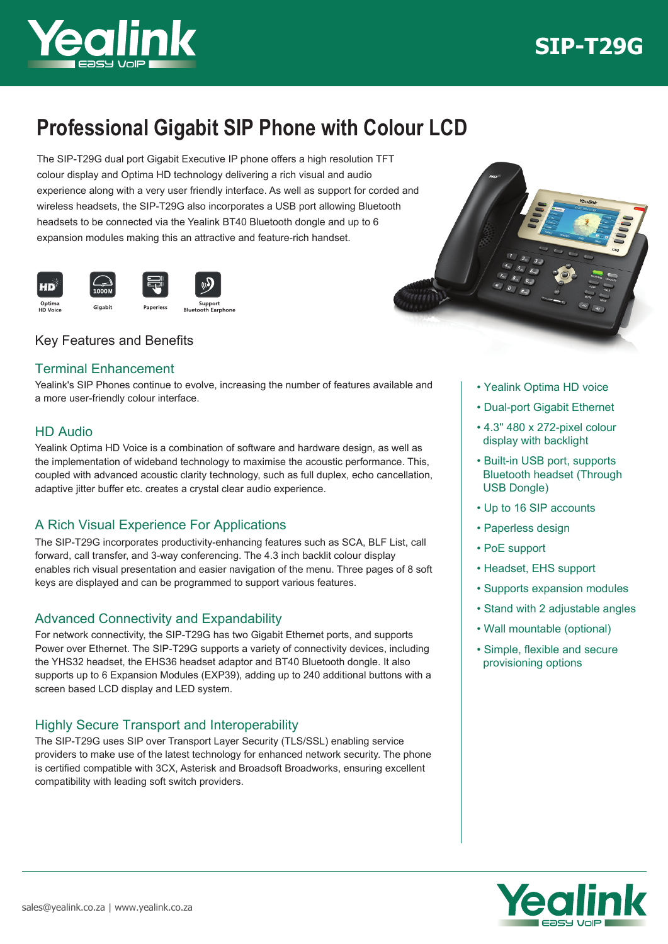

# **SIP-T29G**

## **Professional Gigabit SIP Phone with Colour LCD**

The SIP-T29G dual port Gigabit Executive IP phone offers a high resolution TFT colour display and Optima HD technology delivering a rich visual and audio experience along with a very user friendly interface. As well as support for corded and wireless headsets, the SIP-T29G also incorporates a USB port allowing Bluetooth headsets to be connected via the Yealink BT40 Bluetooth dongle and up to 6 expansion modules making this an attractive and feature-rich handset.



## Key Features and Benefits

### Terminal Enhancement

Yealink's SIP Phones continue to evolve, increasing the number of features available and a more user-friendly colour interface.

### HD Audio

Yealink Optima HD Voice is a combination of software and hardware design, as well as the implementation of wideband technology to maximise the acoustic performance. This, coupled with advanced acoustic clarity technology, such as full duplex, echo cancellation, adaptive jitter buffer etc. creates a crystal clear audio experience.

## A Rich Visual Experience For Applications

The SIP-T29G incorporates productivity-enhancing features such as SCA, BLF List, call forward, call transfer, and 3-way conferencing. The 4.3 inch backlit colour display enables rich visual presentation and easier navigation of the menu. Three pages of 8 soft keys are displayed and can be programmed to support various features.

## Advanced Connectivity and Expandability

For network connectivity, the SIP-T29G has two Gigabit Ethernet ports, and supports Power over Ethernet. The SIP-T29G supports a variety of connectivity devices, including the YHS32 headset, the EHS36 headset adaptor and BT40 Bluetooth dongle. It also supports up to 6 Expansion Modules (EXP39), adding up to 240 additional buttons with a screen based LCD display and LED system.

## Highly Secure Transport and Interoperability

The SIP-T29G uses SIP over Transport Layer Security (TLS/SSL) enabling service providers to make use of the latest technology for enhanced network security. The phone is certified compatible with 3CX, Asterisk and Broadsoft Broadworks, ensuring excellent compatibility with leading soft switch providers.



- Yealink Optima HD voice
- Dual-port Gigabit Ethernet
- 4.3" 480 x 272-pixel colour display with backlight
- Built-in USB port, supports Bluetooth headset (Through USB Dongle)
- Up to 16 SIP accounts
- Paperless design
- PoE support
- Headset, EHS support
- Supports expansion modules
- Stand with 2 adjustable angles
- Wall mountable (optional)
- Simple, flexible and secure provisioning options